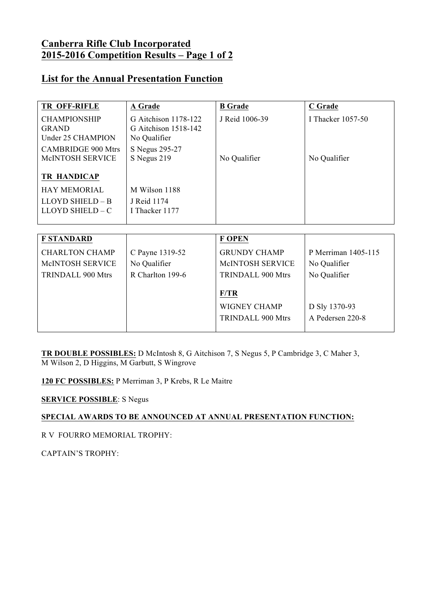## **Canberra Rifle Club Incorporated 2015-2016 Competition Results – Page 1 of 2**

### **List for the Annual Presentation Function**

| <b>TR OFF-RIFLE</b>                                         | A Grade                                                      | <b>B</b> Grade           | C Grade             |
|-------------------------------------------------------------|--------------------------------------------------------------|--------------------------|---------------------|
| <b>CHAMPIONSHIP</b><br><b>GRAND</b><br>Under 25 CHAMPION    | G Aitchison 1178-122<br>G Aitchison 1518-142<br>No Qualifier | J Reid 1006-39           | I Thacker 1057-50   |
| <b>CAMBRIDGE 900 Mtrs</b><br>McINTOSH SERVICE               | S Negus 295-27<br>S Negus 219                                | No Qualifier             | No Qualifier        |
| <b>TR HANDICAP</b>                                          |                                                              |                          |                     |
| <b>HAY MEMORIAL</b><br>LLOYD SHIELD - B<br>LLOYD SHIELD - C | M Wilson 1188<br>J Reid 1174<br>I Thacker 1177               |                          |                     |
|                                                             |                                                              |                          |                     |
| <b>F STANDARD</b>                                           |                                                              | <b>F OPEN</b>            |                     |
| <b>CHARLTON CHAMP</b>                                       | C Payne 1319-52                                              | <b>GRUNDY CHAMP</b>      | P Merriman 1405-115 |
| McINTOSH SERVICE                                            | No Qualifier                                                 | McINTOSH SERVICE         | No Qualifier        |
| <b>TRINDALL 900 Mtrs</b>                                    | R Charlton 199-6                                             | <b>TRINDALL 900 Mtrs</b> | No Qualifier        |
|                                                             |                                                              | F/TR                     |                     |
|                                                             |                                                              | WIGNEY CHAMP             | D Sly 1370-93       |
|                                                             |                                                              | <b>TRINDALL 900 Mtrs</b> | A Pedersen 220-8    |

**TR DOUBLE POSSIBLES:** D McIntosh 8, G Aitchison 7, S Negus 5, P Cambridge 3, C Maher 3, M Wilson 2, D Higgins, M Garbutt, S Wingrove

**120 FC POSSIBLES:** P Merriman 3, P Krebs, R Le Maitre

**SERVICE POSSIBLE**: S Negus

#### **SPECIAL AWARDS TO BE ANNOUNCED AT ANNUAL PRESENTATION FUNCTION:**

R V FOURRO MEMORIAL TROPHY:

CAPTAIN'S TROPHY: